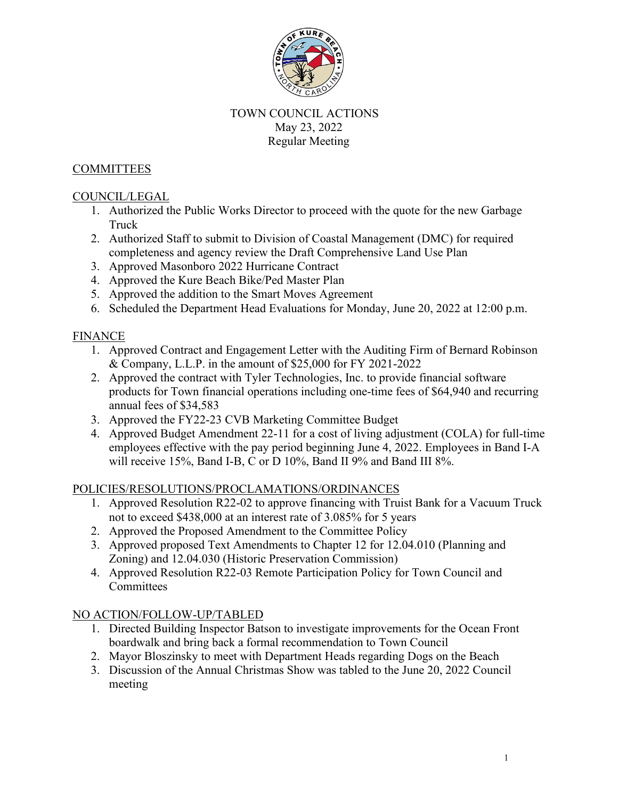

### TOWN COUNCIL ACTIONS May 23, 2022 Regular Meeting

### **COMMITTEES**

### COUNCIL/LEGAL

- 1. Authorized the Public Works Director to proceed with the quote for the new Garbage Truck
- 2. Authorized Staff to submit to Division of Coastal Management (DMC) for required completeness and agency review the Draft Comprehensive Land Use Plan
- 3. Approved Masonboro 2022 Hurricane Contract
- 4. Approved the Kure Beach Bike/Ped Master Plan
- 5. Approved the addition to the Smart Moves Agreement
- 6. Scheduled the Department Head Evaluations for Monday, June 20, 2022 at 12:00 p.m.

## FINANCE

- 1. Approved Contract and Engagement Letter with the Auditing Firm of Bernard Robinson & Company, L.L.P. in the amount of \$25,000 for FY 2021-2022
- 2. Approved the contract with Tyler Technologies, Inc. to provide financial software products for Town financial operations including one-time fees of \$64,940 and recurring annual fees of \$34,583
- 3. Approved the FY22-23 CVB Marketing Committee Budget
- 4. Approved Budget Amendment 22-11 for a cost of living adjustment (COLA) for full-time employees effective with the pay period beginning June 4, 2022. Employees in Band I-A will receive 15%, Band I-B, C or D 10%, Band II 9% and Band III 8%.

#### POLICIES/RESOLUTIONS/PROCLAMATIONS/ORDINANCES

- 1. Approved Resolution R22-02 to approve financing with Truist Bank for a Vacuum Truck not to exceed \$438,000 at an interest rate of 3.085% for 5 years
- 2. Approved the Proposed Amendment to the Committee Policy
- 3. Approved proposed Text Amendments to Chapter 12 for 12.04.010 (Planning and Zoning) and 12.04.030 (Historic Preservation Commission)
- 4. Approved Resolution R22-03 Remote Participation Policy for Town Council and **Committees**

# NO ACTION/FOLLOW-UP/TABLED

- 1. Directed Building Inspector Batson to investigate improvements for the Ocean Front boardwalk and bring back a formal recommendation to Town Council
- 2. Mayor Bloszinsky to meet with Department Heads regarding Dogs on the Beach
- 3. Discussion of the Annual Christmas Show was tabled to the June 20, 2022 Council meeting